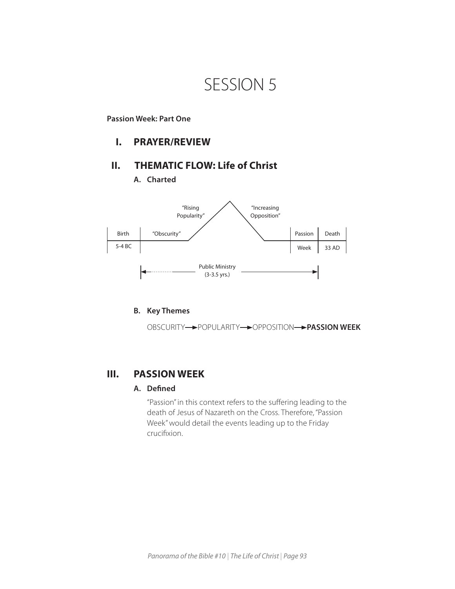# SESSION 5

## **Passion Week: Part One**

## **I. PRAYER/REVIEW**

## **II. THEMATIC FLOW: Life of Christ**

**A. Charted** 



## **B. Key Themes**

OBSCURITY POPULARITY POPPOSITION **PASSION WEEK** 

## **III. PASSION WEEK**

## **A. Defined**

"Passion" in this context refers to the suffering leading to the death of Jesus of Nazareth on the Cross. Therefore, "Passion Week" would detail the events leading up to the Friday crucifixion.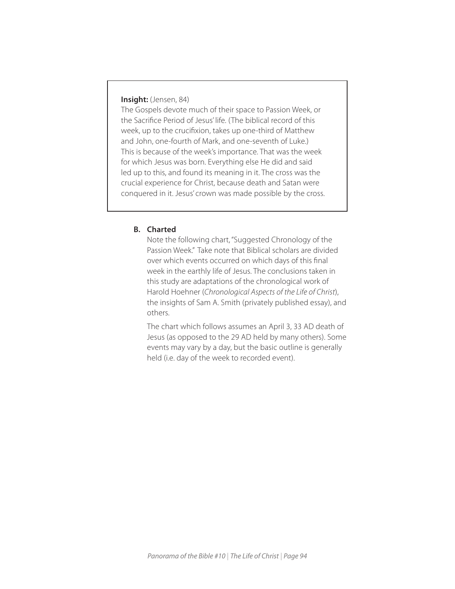## **Insight:** (Jensen, 84)

The Gospels devote much of their space to Passion Week, or the Sacrifice Period of Jesus' life. (The biblical record of this week, up to the crucifixion, takes up one-third of Matthew and John, one-fourth of Mark, and one-seventh of Luke.) This is because of the week's importance. That was the week for which Jesus was born. Everything else He did and said led up to this, and found its meaning in it. The cross was the crucial experience for Christ, because death and Satan were conquered in it. Jesus' crown was made possible by the cross.

## **B. Charted**

Note the following chart, "Suggested Chronology of the Passion Week." Take note that Biblical scholars are divided over which events occurred on which days of this final week in the earthly life of Jesus. The conclusions taken in this study are adaptations of the chronological work of Harold Hoehner (*Chronological Aspects of the Life of Christ*), the insights of Sam A. Smith (privately published essay), and others.

The chart which follows assumes an April 3, 33 AD death of Jesus (as opposed to the 29 AD held by many others). Some events may vary by a day, but the basic outline is generally held (i.e. day of the week to recorded event).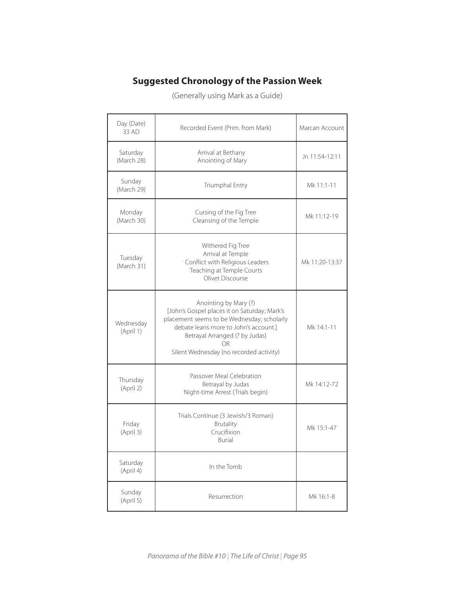## **Suggested Chronology of the Passion Week**

(Generally using Mark as a Guide)

| Day (Date)<br>33 AD    | Recorded Event (Prim. from Mark)                                                                                                                                                                                                               | Marcan Account |
|------------------------|------------------------------------------------------------------------------------------------------------------------------------------------------------------------------------------------------------------------------------------------|----------------|
| Saturday<br>(March 28) | Arrival at Bethany<br>Anointing of Mary                                                                                                                                                                                                        | Jn 11:54-12:11 |
| Sunday<br>(March 29)   | Triumphal Entry                                                                                                                                                                                                                                | Mk 11:1-11     |
| Monday<br>(March 30)   | Cursing of the Fig Tree<br>Cleansing of the Temple                                                                                                                                                                                             | Mk 11:12-19    |
| Tuesday<br>(March 31)  | Withered Fig Tree<br>Arrival at Temple<br><sup>.</sup> Conflict with Religious Leaders<br>Teaching at Temple Courts<br>Olivet Discourse                                                                                                        | Mk 11:20-13:37 |
| Wednesday<br>(April 1) | Anointing by Mary (?)<br>[John's Gospel places it on Saturday; Mark's<br>placement seems to be Wednesday; scholarly<br>debate leans more to John's account.<br>Betrayal Arranged (? by Judas)<br>OR<br>Silent Wednesday (no recorded activity) | Mk 14:1-11     |
| Thursday<br>(April 2)  | Passover Meal Celebration<br>Betrayal by Judas<br>Night-time Arrest (Trials begin)                                                                                                                                                             | Mk 14:12-72    |
| Friday<br>(April 3)    | Trials Continue (3 Jewish/3 Roman)<br>Brutality<br>Crucifixion<br><b>Burial</b>                                                                                                                                                                | Mk 15:1-47     |
| Saturday<br>(April 4)  | In the Tomb                                                                                                                                                                                                                                    |                |
| Sunday<br>(April 5)    | Resurrection                                                                                                                                                                                                                                   |                |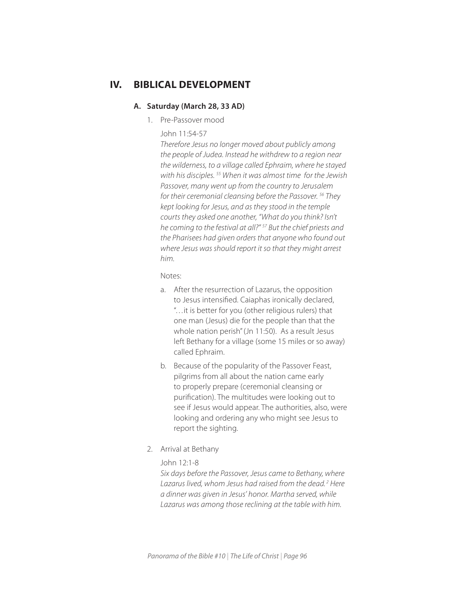## **IV. BIBLICAL DEVELOPMENT**

#### **A. Saturday (March 28, 33 AD)**

1. Pre-Passover mood

#### John 11:54-57

*Therefore Jesus no longer moved about publicly among the people of Judea. Instead he withdrew to a region near the wilderness, to a village called Ephraim, where he stayed with his disciples. 55 When it was almost time for the Jewish Passover, many went up from the country to Jerusalem for their ceremonial cleansing before the Passover. 56 They kept looking for Jesus, and as they stood in the temple courts they asked one another, "What do you think? Isn't he coming to the festival at all?" 57 But the chief priests and the Pharisees had given orders that anyone who found out where Jesus was should report it so that they might arrest him.* 

Notes:

- a. After the resurrection of Lazarus, the opposition to Jesus intensified. Caiaphas ironically declared, "…it is better for you (other religious rulers) that one man (Jesus) die for the people than that the whole nation perish" (Jn 11:50). As a result Jesus left Bethany for a village (some 15 miles or so away) called Ephraim.
- b. Because of the popularity of the Passover Feast, pilgrims from all about the nation came early to properly prepare (ceremonial cleansing or purification). The multitudes were looking out to see if Jesus would appear. The authorities, also, were looking and ordering any who might see Jesus to report the sighting.
- 2. Arrival at Bethany

## John 12:1-8

*Six days before the Passover, Jesus came to Bethany, where Lazarus lived, whom Jesus had raised from the dead. 2 Here a dinner was given in Jesus' honor. Martha served, while Lazarus was among those reclining at the table with him.*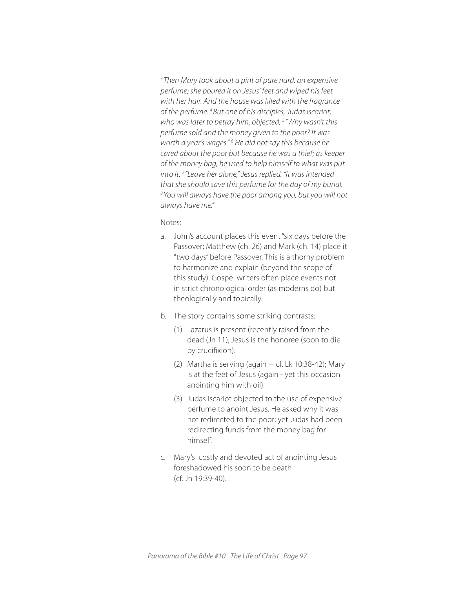<sup>3</sup> Then Mary took about a pint of pure nard, an expensive *perfume; she poured it on Jesus' feet and wiped his feet with her hair. And the house was filled with the fragrance of the perfume. 4 But one of his disciples, Judas Iscariot, who was later to betray him, objected, 5 "Why wasn't this perfume sold and the money given to the poor? It was*  worth a year's wages."<sup>6</sup> He did not say this because he *cared about the poor but because he was a thief; as keeper of the money bag, he used to help himself to what was put into it. 7 "Leave her alone," Jesus replied. "It was intended that she should save this perfume for the day of my burial. 8 You will always have the poor among you, but you will not always have me."*

- a. John's account places this event "six days before the Passover; Matthew (ch. 26) and Mark (ch. 14) place it "two days" before Passover. This is a thorny problem to harmonize and explain (beyond the scope of this study). Gospel writers often place events not in strict chronological order (as moderns do) but theologically and topically.
- b. The story contains some striking contrasts:
	- (1) Lazarus is present (recently raised from the dead (Jn 11); Jesus is the honoree (soon to die by crucifixion).
	- (2) Martha is serving (again  $-$  cf. Lk 10:38-42); Mary is at the feet of Jesus (again - yet this occasion anointing him with oil).
	- (3) Judas Iscariot objected to the use of expensive perfume to anoint Jesus. He asked why it was not redirected to the poor; yet Judas had been redirecting funds from the money bag for himself.
- c. Mary's costly and devoted act of anointing Jesus foreshadowed his soon to be death (cf. Jn 19:39-40).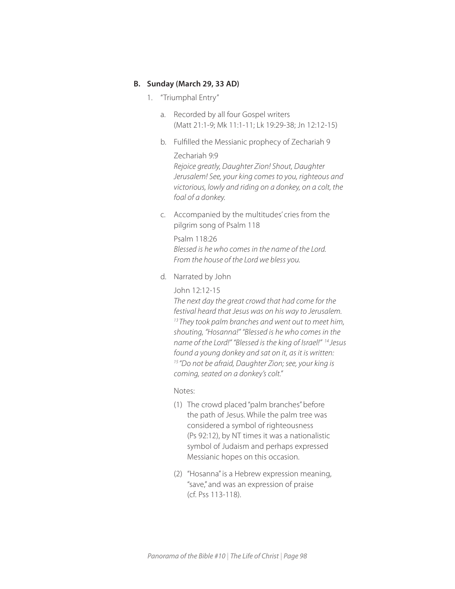## **B. Sunday (March 29, 33 AD)**

- 1. "Triumphal Entry"
	- a. Recorded by all four Gospel writers (Matt 21:1-9; Mk 11:1-11; Lk 19:29-38; Jn 12:12-15)
	- b. Fulfilled the Messianic prophecy of Zechariah 9

## Zechariah 9:9

*Rejoice greatly, Daughter Zion! Shout, Daughter Jerusalem! See, your king comes to you, righteous and victorious, lowly and riding on a donkey, on a colt, the foal of a donkey.*

c. Accompanied by the multitudes' cries from the pilgrim song of Psalm 118

Psalm 118:26 *Blessed is he who comes in the name of the Lord. From the house of the Lord we bless you.*

d. Narrated by John

## John 12:12-15

*The next day the great crowd that had come for the festival heard that Jesus was on his way to Jerusalem. 13 They took palm branches and went out to meet him, shouting, "Hosanna!" "Blessed is he who comes in the name of the Lord!" "Blessed is the king of Israel!" 14 Jesus found a young donkey and sat on it, as it is written: 15 "Do not be afraid, Daughter Zion; see, your king is coming, seated on a donkey's colt."*

- (1) The crowd placed "palm branches" before the path of Jesus. While the palm tree was considered a symbol of righteousness (Ps 92:12), by NT times it was a nationalistic symbol of Judaism and perhaps expressed Messianic hopes on this occasion.
- (2) "Hosanna" is a Hebrew expression meaning, "save," and was an expression of praise (cf. Pss 113-118).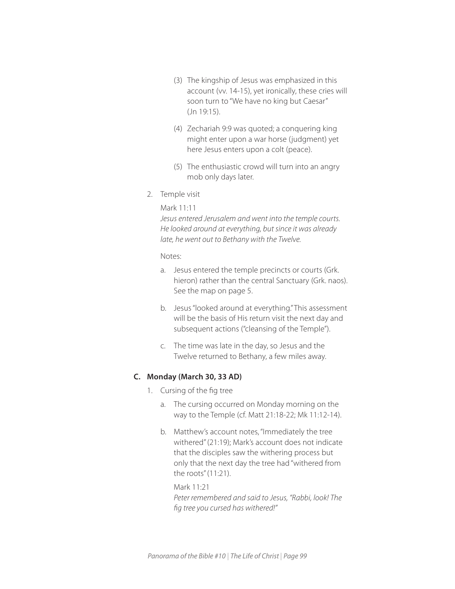- (3) The kingship of Jesus was emphasized in this account (vv. 14-15), yet ironically, these cries will soon turn to "We have no king but Caesar" (Jn 19:15).
- (4) Zechariah 9:9 was quoted; a conquering king might enter upon a war horse (judgment) yet here Jesus enters upon a colt (peace).
- (5) The enthusiastic crowd will turn into an angry mob only days later.
- 2. Temple visit

```
Mark 11:11
```
*Jesus entered Jerusalem and went into the temple courts. He looked around at everything, but since it was already late, he went out to Bethany with the Twelve.* 

Notes:

- a. Jesus entered the temple precincts or courts (Grk. hieron) rather than the central Sanctuary (Grk. naos). See the map on page 5.
- b. Jesus "looked around at everything." This assessment will be the basis of His return visit the next day and subsequent actions ("cleansing of the Temple").
- c. The time was late in the day, so Jesus and the Twelve returned to Bethany, a few miles away.

## **C. Monday (March 30, 33 AD)**

- 1. Cursing of the fig tree
	- a. The cursing occurred on Monday morning on the way to the Temple (cf. Matt 21:18-22; Mk 11:12-14).
	- b. Matthew's account notes, "Immediately the tree withered" (21:19); Mark's account does not indicate that the disciples saw the withering process but only that the next day the tree had "withered from the roots" (11:21).

Mark 11:21 *Peter remembered and said to Jesus, "Rabbi, look! The fig tree you cursed has withered!"*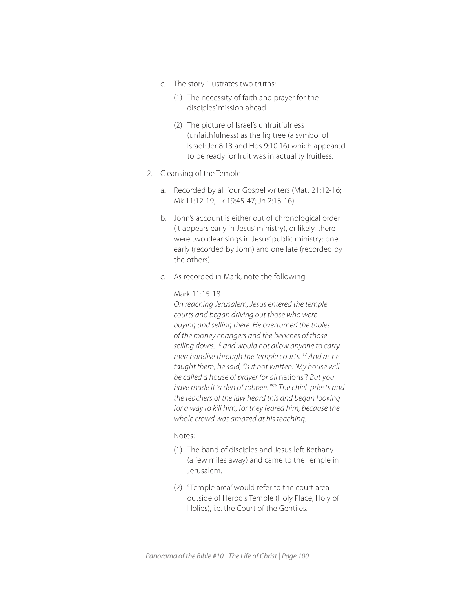- c. The story illustrates two truths:
	- (1) The necessity of faith and prayer for the disciples' mission ahead
	- (2) The picture of Israel's unfruitfulness (unfaithfulness) as the fig tree (a symbol of Israel: Jer 8:13 and Hos 9:10,16) which appeared to be ready for fruit was in actuality fruitless.
- 2. Cleansing of the Temple
	- a. Recorded by all four Gospel writers (Matt 21:12-16; Mk 11:12-19; Lk 19:45-47; Jn 2:13-16).
	- b. John's account is either out of chronological order (it appears early in Jesus' ministry), or likely, there were two cleansings in Jesus' public ministry: one early (recorded by John) and one late (recorded by the others).
	- c. As recorded in Mark, note the following:

#### Mark 11:15-18

*On reaching Jerusalem, Jesus entered the temple courts and began driving out those who were buying and selling there. He overturned the tables of the money changers and the benches of those selling doves, 16 and would not allow anyone to carry merchandise through the temple courts. 17 And as he taught them, he said, "Is it not written: 'My house will be called a house of prayer for all* nations'? *But you have made it 'a den of robbers.'"18 The chief priests and the teachers of the law heard this and began looking for a way to kill him, for they feared him, because the whole crowd was amazed at his teaching.*

- (1) The band of disciples and Jesus left Bethany (a few miles away) and came to the Temple in Jerusalem.
- (2) "Temple area" would refer to the court area outside of Herod's Temple (Holy Place, Holy of Holies), i.e. the Court of the Gentiles.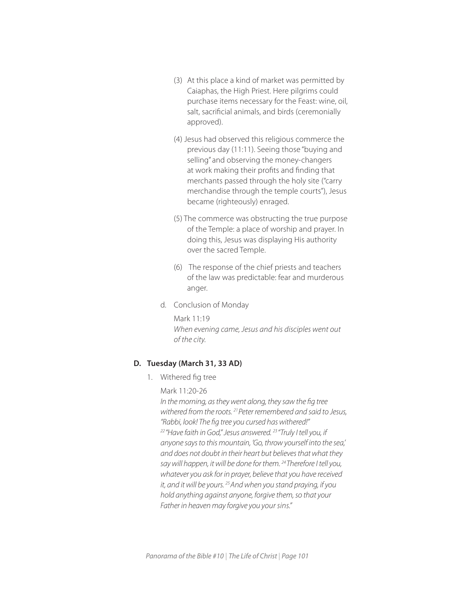- (3) At this place a kind of market was permitted by Caiaphas, the High Priest. Here pilgrims could purchase items necessary for the Feast: wine, oil, salt, sacrificial animals, and birds (ceremonially approved).
- (4) Jesus had observed this religious commerce the previous day (11:11). Seeing those "buying and selling" and observing the money-changers at work making their profits and finding that merchants passed through the holy site ("carry merchandise through the temple courts"), Jesus became (righteously) enraged.
- (5) The commerce was obstructing the true purpose of the Temple: a place of worship and prayer. In doing this, Jesus was displaying His authority over the sacred Temple.
- (6) The response of the chief priests and teachers of the law was predictable: fear and murderous anger.
- d. Conclusion of Monday

Mark 11:19 *When evening came, Jesus and his disciples went out of the city.*

#### **D. Tuesday (March 31, 33 AD)**

1. Withered fig tree

## Mark 11:20-26

*In the morning, as they went along, they saw the fig tree withered from the roots. 21 Peter remembered and said to Jesus, "Rabbi, look! The fig tree you cursed has withered!" 22 "Have faith in God," Jesus answered. 23 "Truly I tell you, if anyone says to this mountain, 'Go, throw yourself into the sea,' and does not doubt in their heart but believes that what they say will happen, it will be done for them. 24 Therefore I tell you, whatever you ask for in prayer, believe that you have received it, and it will be yours. 25 And when you stand praying, if you hold anything against anyone, forgive them, so that your Father in heaven may forgive you your sins."*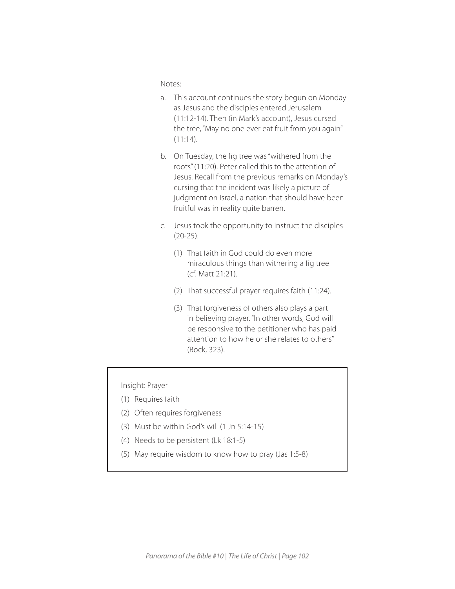Notes:

- a. This account continues the story begun on Monday as Jesus and the disciples entered Jerusalem (11:12-14). Then (in Mark's account), Jesus cursed the tree, "May no one ever eat fruit from you again"  $(11:14)$ .
- b. On Tuesday, the fig tree was "withered from the roots" (11:20). Peter called this to the attention of Jesus. Recall from the previous remarks on Monday's cursing that the incident was likely a picture of judgment on Israel, a nation that should have been fruitful was in reality quite barren.
- c. Jesus took the opportunity to instruct the disciples (20-25):
	- (1) That faith in God could do even more miraculous things than withering a fig tree (cf. Matt 21:21).
	- (2) That successful prayer requires faith (11:24).
	- (3) That forgiveness of others also plays a part in believing prayer. "In other words, God will be responsive to the petitioner who has paid attention to how he or she relates to others" (Bock, 323).

Insight: Prayer

- (1) Requires faith
- (2) Often requires forgiveness
- (3) Must be within God's will (1 Jn 5:14-15)
- (4) Needs to be persistent (Lk 18:1-5)
- (5) May require wisdom to know how to pray (Jas 1:5-8)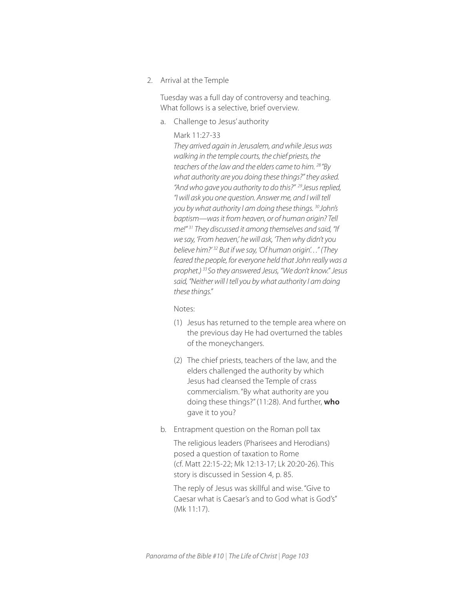2. Arrival at the Temple

Tuesday was a full day of controversy and teaching. What follows is a selective, brief overview.

a. Challenge to Jesus' authority

#### Mark 11:27-33

*They arrived again in Jerusalem, and while Jesus was walking in the temple courts, the chief priests, the teachers of the law and the elders came to him. 28 "By what authority are you doing these things?" they asked. "And who gave you authority to do this?" 29 Jesus replied, "I will ask you one question. Answer me, and I will tell you by what authority I am doing these things. 30 John's baptism—was it from heaven, or of human origin? Tell me!" 31 They discussed it among themselves and said, "If we say, 'From heaven,' he will ask, 'Then why didn't you believe him?' 32 But if we say, 'Of human origin'…" (They feared the people, for everyone held that John really was a prophet.) 33 So they answered Jesus, "We don't know." Jesus said, "Neither will I tell you by what authority I am doing these things."*

Notes:

- (1) Jesus has returned to the temple area where on the previous day He had overturned the tables of the moneychangers.
- (2) The chief priests, teachers of the law, and the elders challenged the authority by which Jesus had cleansed the Temple of crass commercialism. "By what authority are you doing these things?" (11:28). And further, **who** gave it to you?
- b. Entrapment question on the Roman poll tax

The religious leaders (Pharisees and Herodians) posed a question of taxation to Rome (cf. Matt 22:15-22; Mk 12:13-17; Lk 20:20-26). This story is discussed in Session 4, p. 85.

The reply of Jesus was skillful and wise. "Give to Caesar what is Caesar's and to God what is God's" (Mk 11:17).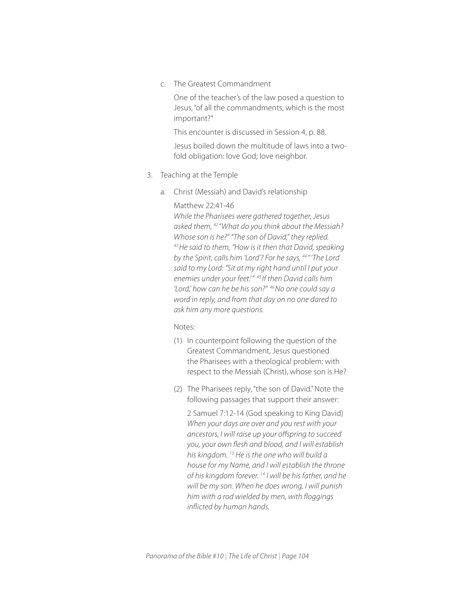c. The Greatest Commandment

One of the teacher's of the law posed a question to Jesus, "of all the commandments, which is the most important?"

This encounter is discussed in Session 4, p. 88.

Jesus boiled down the multitude of laws into a twofold obligation: love God; love neighbor.

- 3. Teaching at the Temple
	- a. Christ (Messiah) and David's relationship

#### Matthew 22:41-46

*While the Pharisees were gathered together, Jesus asked them, 42 "What do you think about the Messiah? Whose son is he?" "The son of David," they replied. 43 He said to them, "How is it then that David, speaking by the Spirit, calls him 'Lord'? For he says, 44 " 'The Lord said to my Lord: "Sit at my right hand until I put your enemies under your feet.' " 45 If then David calls him 'Lord,' how can he be his son?" 46 No one could say a word in reply, and from that day on no one dared to ask him any more questions.*

Notes:

- (1) In counterpoint following the question of the Greatest Commandment, Jesus questioned the Pharisees with a theological problem: with respect to the Messiah (Christ), whose son is He?
- (2) The Pharisees reply, "the son of David." Note the following passages that support their answer:

2 Samuel 7:12-14 (God speaking to King David) *When your days are over and you rest with your ancestors, I will raise up your offspring to succeed you, your own flesh and blood, and I will establish his kingdom. 13 He is the one who will build a house for my Name, and I will establish the throne of his kingdom forever. 14 I will be his father, and he will be my son. When he does wrong, I will punish him with a rod wielded by men, with floggings inflicted by human hands.*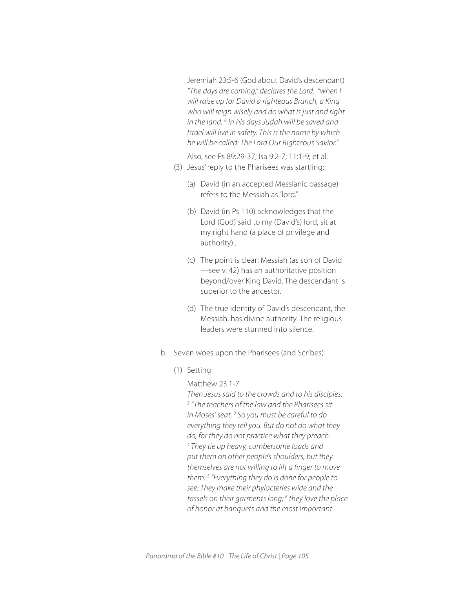Jeremiah 23:5-6 (God about David's descendant) *"The days are coming," declares the Lord, "when I will raise up for David a righteous Branch, a King who will reign wisely and do what is just and right in the land. <sup>6</sup> In his days Judah will be saved and Israel will live in safety. This is the name by which he will be called: The Lord Our Righteous Savior."* 

 Also, see Ps 89:29-37; Isa 9:2-7; 11:1-9; et al. (3) Jesus' reply to the Pharisees was startling:

- (a) David (in an accepted Messianic passage) refers to the Messiah as "lord."
- (b) David (in Ps 110) acknowledges that the Lord (God) said to my (David's) lord, sit at my right hand (a place of privilege and authority)...
- (c) The point is clear: Messiah (as son of David —see v. 42) has an authoritative position beyond/over King David. The descendant is superior to the ancestor.
- (d) The true identity of David's descendant, the Messiah, has divine authority. The religious leaders were stunned into silence.
- b. Seven woes upon the Pharisees (and Scribes)
	- (1) Setting

Matthew 23:1-7

*Then Jesus said to the crowds and to his disciples: 2 "The teachers of the law and the Pharisees sit in Moses' seat. 3 So you must be careful to do everything they tell you. But do not do what they do, for they do not practice what they preach. 4 They tie up heavy, cumbersome loads and put them on other people's shoulders, but they themselves are not willing to lift a finger to move them. 5 "Everything they do is done for people to see: They make their phylacteries wide and the tassels on their garments long; 6 they love the place of honor at banquets and the most important*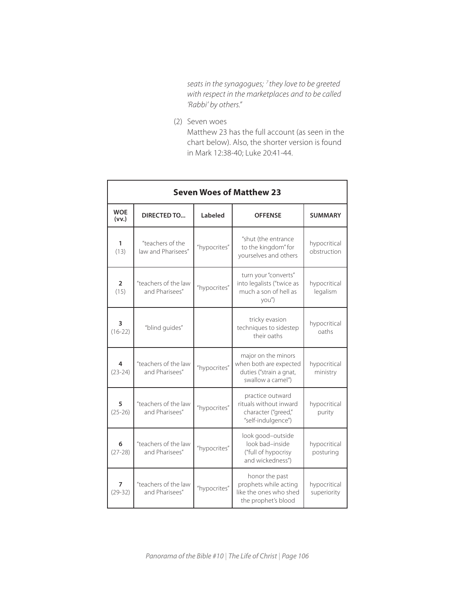*seats in the synagogues; 7 they love to be greeted with respect in the marketplaces and to be called 'Rabbi' by others."* 

(2) Seven woes

Matthew 23 has the full account (as seen in the chart below). Also, the shorter version is found in Mark 12:38-40; Luke 20:41-44.

| <b>Seven Woes of Matthew 23</b> |                                        |              |                                                                                               |                             |  |  |
|---------------------------------|----------------------------------------|--------------|-----------------------------------------------------------------------------------------------|-----------------------------|--|--|
| <b>WOE</b><br>(vv.)             | DIRECTED TO                            | Labeled      | <b>OFFENSE</b>                                                                                | <b>SUMMARY</b>              |  |  |
| 1<br>(13)                       | "teachers of the<br>law and Pharisees" | "hypocrites" | "shut (the entrance<br>to the kingdom" for<br>yourselves and others                           | hypocritical<br>obstruction |  |  |
| $\overline{2}$<br>(15)          | "teachers of the law<br>and Pharisees" | "hypocrites" | turn your "converts"<br>into legalists ("twice as<br>much a son of hell as<br>you")           | hypocritical<br>legalism    |  |  |
| 3<br>$(16-22)$                  | "blind quides"                         |              | tricky evasion<br>techniques to sidestep<br>their oaths                                       | hypocritical<br>oaths       |  |  |
| 4<br>$(23-24)$                  | "teachers of the law<br>and Pharisees" | "hypocrites" | major on the minors<br>when both are expected<br>duties ("strain a gnat,<br>swallow a camel") | hypocritical<br>ministry    |  |  |
| 5<br>$(25-26)$                  | "teachers of the law<br>and Pharisees" | "hypocrites" | practice outward<br>rituals without inward<br>character ("greed,"<br>"self-indulgence")       | hypocritical<br>purity      |  |  |
| 6<br>$(27-28)$                  | "teachers of the law<br>and Pharisees" | "hypocrites" | look good-outside<br>look bad-inside<br>("full of hypocrisy<br>and wickedness")               | hypocritical<br>posturing   |  |  |
| 7<br>$(29-32)$                  | "teachers of the law<br>and Pharisees" | "hypocrites" | honor the past<br>prophets while acting<br>like the ones who shed<br>the prophet's blood      | hypocritical<br>superiority |  |  |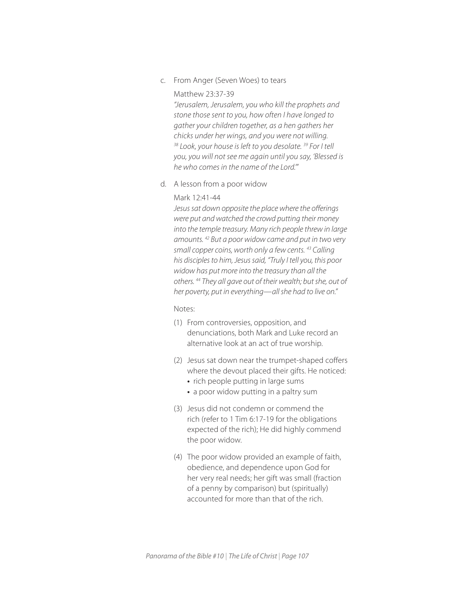c. From Anger (Seven Woes) to tears

#### Matthew 23:37-39

*"Jerusalem, Jerusalem, you who kill the prophets and stone those sent to you, how often I have longed to gather your children together, as a hen gathers her chicks under her wings, and you were not willing. 38 Look, your house is left to you desolate. 39 For I tell you, you will not see me again until you say, 'Blessed is he who comes in the name of the Lord.'"*

d. A lesson from a poor widow

#### Mark 12:41-44

*Jesus sat down opposite the place where the offerings were put and watched the crowd putting their money into the temple treasury. Many rich people threw in large amounts. 42 But a poor widow came and put in two very small copper coins, worth only a few cents. 43 Calling his disciples to him, Jesus said, "Truly I tell you, this poor widow has put more into the treasury than all the others. 44 They all gave out of their wealth; but she, out of her poverty, put in everything—all she had to live on."* 

- (1) From controversies, opposition, and denunciations, both Mark and Luke record an alternative look at an act of true worship.
- (2) Jesus sat down near the trumpet-shaped coffers where the devout placed their gifts. He noticed:
	- rich people putting in large sums
	- a poor widow putting in a paltry sum
- (3) Jesus did not condemn or commend the rich (refer to 1 Tim 6:17-19 for the obligations expected of the rich); He did highly commend the poor widow.
- (4) The poor widow provided an example of faith, obedience, and dependence upon God for her very real needs; her gift was small (fraction of a penny by comparison) but (spiritually) accounted for more than that of the rich.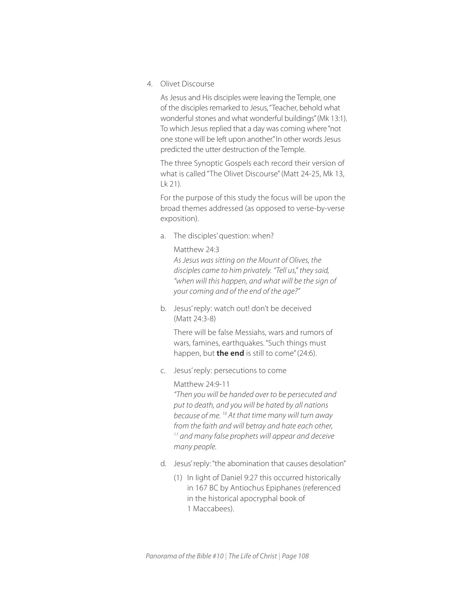4. Olivet Discourse

As Jesus and His disciples were leaving the Temple, one of the disciples remarked to Jesus, "Teacher, behold what wonderful stones and what wonderful buildings" (Mk 13:1). To which Jesus replied that a day was coming where "not one stone will be left upon another." In other words Jesus predicted the utter destruction of the Temple.

The three Synoptic Gospels each record their version of what is called "The Olivet Discourse" (Matt 24-25, Mk 13, Lk 21).

For the purpose of this study the focus will be upon the broad themes addressed (as opposed to verse-by-verse exposition).

- a. The disciples' question: when?
	- Matthew 24:3

*As Jesus was sitting on the Mount of Olives, the disciples came to him privately. "Tell us," they said, "when will this happen, and what will be the sign of your coming and of the end of the age?"* 

b. Jesus' reply: watch out! don't be deceived (Matt 24:3-8)

There will be false Messiahs, wars and rumors of wars, famines, earthquakes. "Such things must happen, but **the end** is still to come" (24:6).

- c. Jesus' reply: persecutions to come
	- Matthew 24:9-11

*"Then you will be handed over to be persecuted and put to death, and you will be hated by all nations because of me. 10 At that time many will turn away from the faith and will betray and hate each other, 11 and many false prophets will appear and deceive many people.*

- d. Jesus' reply: "the abomination that causes desolation"
	- (1) In light of Daniel 9:27 this occurred historically in 167 BC by Antiochus Epiphanes (referenced in the historical apocryphal book of 1 Maccabees).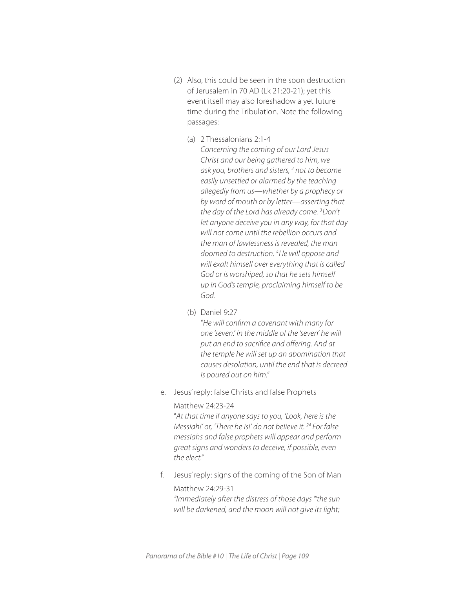- (2) Also, this could be seen in the soon destruction of Jerusalem in 70 AD (Lk 21:20-21); yet this event itself may also foreshadow a yet future time during the Tribulation. Note the following passages:
	- (a) 2 Thessalonians 2:1-4 *Concerning the coming of our Lord Jesus Christ and our being gathered to him, we ask you, brothers and sisters, 2 not to become easily unsettled or alarmed by the teaching allegedly from us—whether by a prophecy or by word of mouth or by letter—asserting that the day of the Lord has already come. 3 Don't let anyone deceive you in any way, for that day will not come until the rebellion occurs and the man of lawlessness is revealed, the man doomed to destruction. 4 He will oppose and will exalt himself over everything that is called God or is worshiped, so that he sets himself up in God's temple, proclaiming himself to be God.*
	- (b) Daniel 9:27

"*He will confirm a covenant with many for one 'seven.' In the middle of the 'seven' he will put an end to sacrifice and offering. And at the temple he will set up an abomination that causes desolation, until the end that is decreed is poured out on him."* 

e. Jesus' reply: false Christs and false Prophets

## Matthew 24:23-24

"*At that time if anyone says to you, 'Look, here is the Messiah!' or, 'There he is!' do not believe it. 24 For false messiahs and false prophets will appear and perform great signs and wonders to deceive, if possible, even the elect."* 

f. Jesus' reply: signs of the coming of the Son of Man

#### Matthew 24:29-31

*"Immediately after the distress of those days "'the sun will be darkened, and the moon will not give its light;*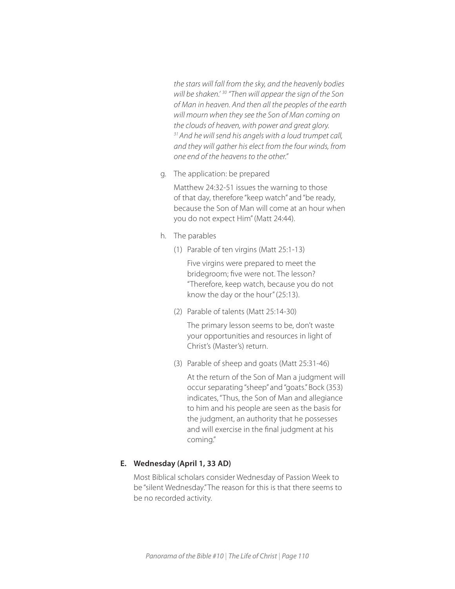*the stars will fall from the sky, and the heavenly bodies will be shaken.' 30 "Then will appear the sign of the Son of Man in heaven. And then all the peoples of the earth will mourn when they see the Son of Man coming on the clouds of heaven, with power and great glory. 31 And he will send his angels with a loud trumpet call, and they will gather his elect from the four winds, from one end of the heavens to the other."* 

g. The application: be prepared

Matthew 24:32-51 issues the warning to those of that day, therefore "keep watch" and "be ready, because the Son of Man will come at an hour when you do not expect Him" (Matt 24:44).

- h. The parables
	- (1) Parable of ten virgins (Matt 25:1-13)

Five virgins were prepared to meet the bridegroom; five were not. The lesson? "Therefore, keep watch, because you do not know the day or the hour" (25:13).

(2) Parable of talents (Matt 25:14-30)

The primary lesson seems to be, don't waste your opportunities and resources in light of Christ's (Master's) return.

(3) Parable of sheep and goats (Matt 25:31-46)

At the return of the Son of Man a judgment will occur separating "sheep" and "goats." Bock (353) indicates, "Thus, the Son of Man and allegiance to him and his people are seen as the basis for the judgment, an authority that he possesses and will exercise in the final judgment at his coming."

## **E. Wednesday (April 1, 33 AD)**

Most Biblical scholars consider Wednesday of Passion Week to be "silent Wednesday." The reason for this is that there seems to be no recorded activity.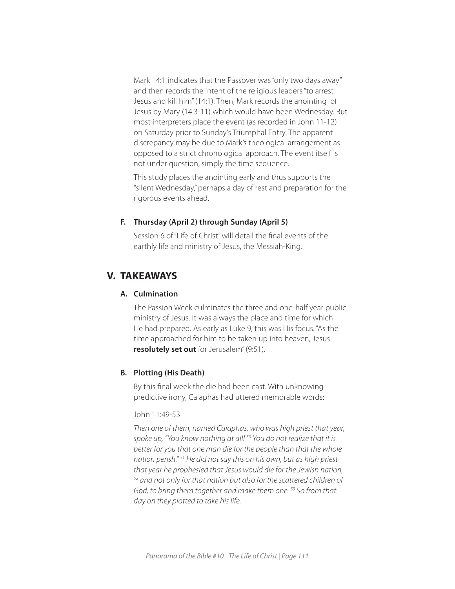Mark 14:1 indicates that the Passover was "only two days away" and then records the intent of the religious leaders "to arrest Jesus and kill him" (14:1). Then, Mark records the anointing of Jesus by Mary (14:3-11) which would have been Wednesday. But most interpreters place the event (as recorded in John 11-12) on Saturday prior to Sunday's Triumphal Entry. The apparent discrepancy may be due to Mark's theological arrangement as opposed to a strict chronological approach. The event itself is not under question, simply the time sequence.

This study places the anointing early and thus supports the "silent Wednesday," perhaps a day of rest and preparation for the rigorous events ahead.

## **F. Thursday (April 2) through Sunday (April 5)**

Session 6 of "Life of Christ" will detail the final events of the earthly life and ministry of Jesus, the Messiah-King.

## **V. TAKEAWAYS**

## **A. Culmination**

The Passion Week culminates the three and one-half year public ministry of Jesus. It was always the place and time for which He had prepared. As early as Luke 9, this was His focus. "As the time approached for him to be taken up into heaven, Jesus **resolutely set out** for Jerusalem" (9:51).

## **B. Plotting (His Death)**

By this final week the die had been cast. With unknowing predictive irony, Caiaphas had uttered memorable words:

#### John 11:49-53

*Then one of them, named Caiaphas, who was high priest that year, spoke up, "You know nothing at all! 50 You do not realize that it is better for you that one man die for the people than that the whole nation perish." 51 He did not say this on his own, but as high priest that year he prophesied that Jesus would die for the Jewish nation, 52 and not only for that nation but also for the scattered children of God, to bring them together and make them one. 53 So from that day on they plotted to take his life.*